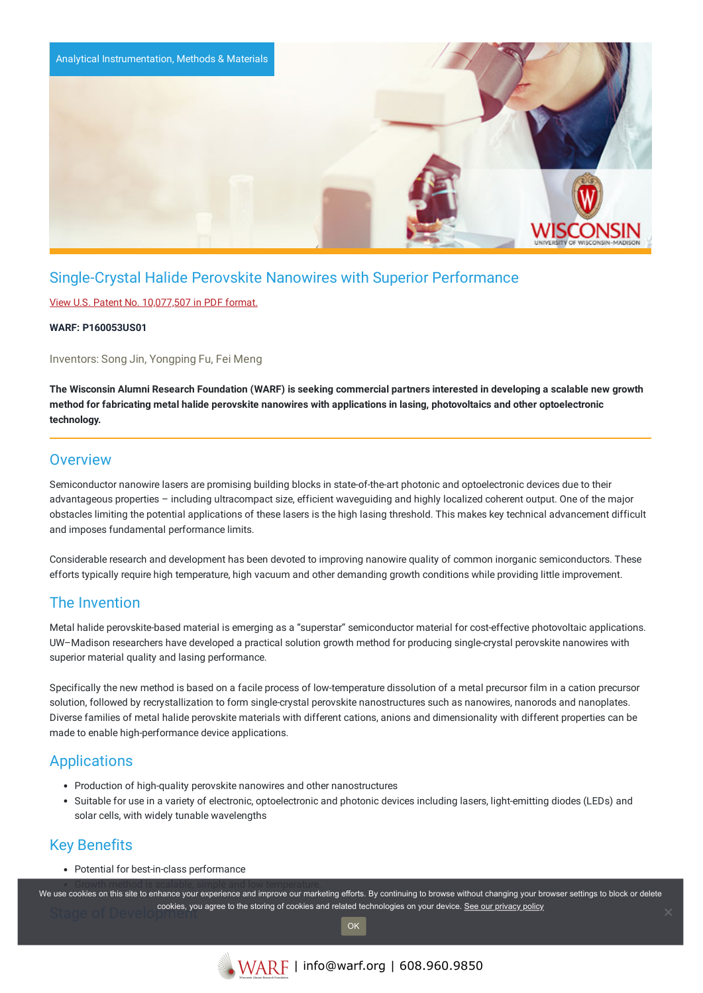

# Single-Crystal Halide Perovskite Nanowires with Superior Performance

### View U.S. Patent No. [10,077,507](https://www.warf.org/wp-content/uploads/technologies/ipstatus/P160053US01.pdf) in PDF format.

#### **WARF: P160053US01**

Inventors: Song Jin, Yongping Fu, Fei Meng

The Wisconsin Alumni Research Foundation (WARF) is seeking commercial partners interested in developing a scalable new growth method for fabricating metal halide perovskite nanowires with applications in lasing, photovoltaics and other optoelectronic **technology.**

## **Overview**

Semiconductor nanowire lasers are promising building blocks in state-of-the-art photonic and optoelectronic devices due to their advantageous properties – including ultracompact size, efficient waveguiding and highly localized coherent output. One of the major obstacles limiting the potential applications of these lasers is the high lasing threshold. This makes key technical advancement difficult and imposes fundamental performance limits.

Considerable research and development has been devoted to improving nanowire quality of common inorganic semiconductors. These efforts typically require high temperature, high vacuum and other demanding growth conditions while providing little improvement.

# The Invention

Metal halide perovskite-based material is emerging as a "superstar" semiconductor material for cost-effective photovoltaic applications. UW–Madison researchers have developed a practical solution growth method for producing single-crystal perovskite nanowires with superior material quality and lasing performance.

Specifically the new method is based on a facile process of low-temperature dissolution of a metal precursor film in a cation precursor solution, followed by recrystallization to form single-crystal perovskite nanostructures such as nanowires, nanorods and nanoplates. Diverse families of metal halide perovskite materials with different cations, anions and dimensionality with different properties can be made to enable high-performance device applications.

## **Applications**

- Production of high-quality perovskite nanowires and other nanostructures
- Suitable for use in a variety of electronic, optoelectronic and photonic devices including lasers, light-emitting diodes (LEDs) and solar cells, with widely tunable wavelengths

# Key Benefits

Potential for best-in-class performance

.<br>We use cookies on this site to enhance your experience and improve our marketing efforts. By continuing to browse without changing your browser settings to block or delete Stage of Development cookies, you agree to the storing of cookies and related technologies on your device. [See our privacy policy](https://www.warf.org/privacy-policy/)